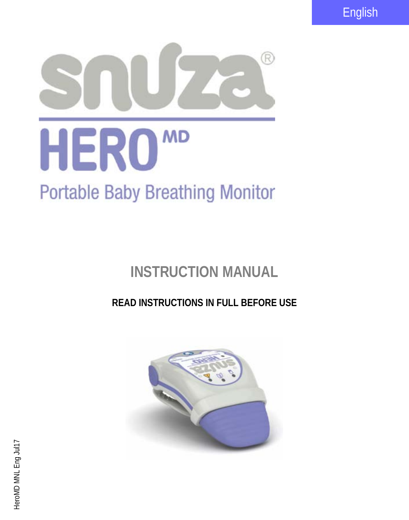English



# **INSTRUCTION MANUAL**

# **READ INSTRUCTIONS IN FULL BEFORE USE**

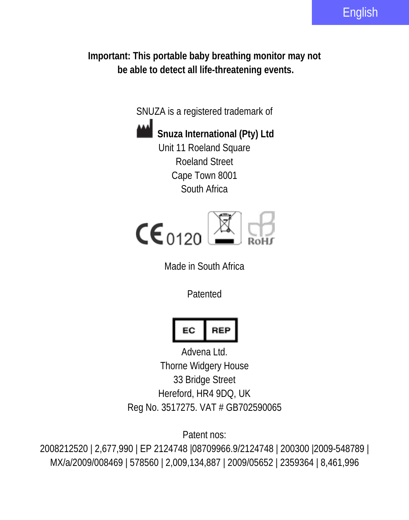**Important: This portable baby breathing monitor may not be able to detect all life-threatening events.**

SNUZA is a registered trademark of



**Snuza International (Pty) Ltd** Unit 11 Roeland Square Roeland Street Cape Town 8001 South Africa



Made in South Africa

Patented

$$
\begin{array}{|c|c|}\n\hline\n\end{array}
$$

Advena Ltd. Thorne Widgery House 33 Bridge Street Hereford, HR4 9DQ, UK Reg No. 3517275. VAT # GB702590065

Patent nos:

2008212520 | 2,677,990 | EP 2124748 |08709966.9/2124748 | 200300 |2009-548789 | MX/a/2009/008469 | 578560 | 2,009,134,887 | 2009/05652 | 2359364 | 8,461,996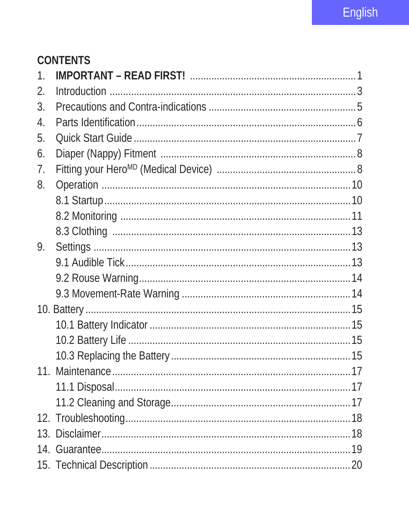# **CONTENTS**

| $\mathbf{1}$     |  |
|------------------|--|
| $\mathfrak{D}$   |  |
| 3.               |  |
| $\overline{4}$ . |  |
| 5.               |  |
| 6.               |  |
| 7.               |  |
| 8.               |  |
|                  |  |
|                  |  |
|                  |  |
| 9.               |  |
|                  |  |
|                  |  |
|                  |  |
|                  |  |
|                  |  |
|                  |  |
|                  |  |
|                  |  |
|                  |  |
|                  |  |
|                  |  |
|                  |  |
|                  |  |
|                  |  |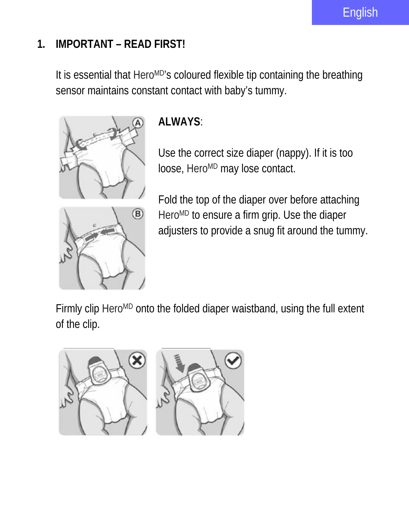# **1. IMPORTANT – READ FIRST!**

It is essential that Hero<sup>MD</sup>'s coloured flexible tip containing the breathing sensor maintains constant contact with baby's tummy.



# **ALWAYS**:

Use the correct size diaper (nappy). If it is too loose, Hero<sup>MD</sup> may lose contact.



Fold the top of the diaper over before attaching Hero<sup>MD</sup> to ensure a firm grip. Use the diaper adjusters to provide a snug fit around the tummy.

Firmly clip Hero<sup>MD</sup> onto the folded diaper waistband, using the full extent of the clip.

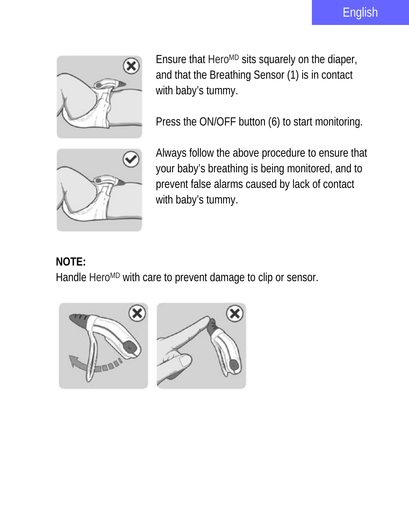

Ensure that Hero<sup>MD</sup> sits squarely on the diaper, and that the Breathing Sensor (1) is in contact with baby's tummy.

Press the ON/OFF button (6) to start monitoring.



Always follow the above procedure to ensure that your baby's breathing is being monitored, and to prevent false alarms caused by lack of contact with baby's tummy.

# **NOTE:**

Handle Hero<sup>MD</sup> with care to prevent damage to clip or sensor.

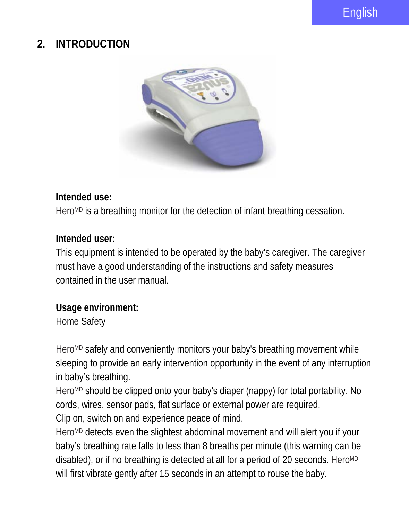# **2. INTRODUCTION**



#### **Intended use:**

Hero<sup>MD</sup> is a breathing monitor for the detection of infant breathing cessation.

#### **Intended user:**

This equipment is intended to be operated by the baby's caregiver. The caregiver must have a good understanding of the instructions and safety measures contained in the user manual.

#### **Usage environment:**

Home Safety

Hero<sup>MD</sup> safely and conveniently monitors your baby's breathing movement while sleeping to provide an early intervention opportunity in the event of any interruption in baby's breathing.

Hero<sup>MD</sup> should be clipped onto your baby's diaper (nappy) for total portability. No cords, wires, sensor pads, flat surface or external power are required.

Clip on, switch on and experience peace of mind.

Hero<sup>MD</sup> detects even the slightest abdominal movement and will alert you if your baby's breathing rate falls to less than 8 breaths per minute (this warning can be disabled), or if no breathing is detected at all for a period of 20 seconds. HeroMD will first vibrate gently after 15 seconds in an attempt to rouse the baby.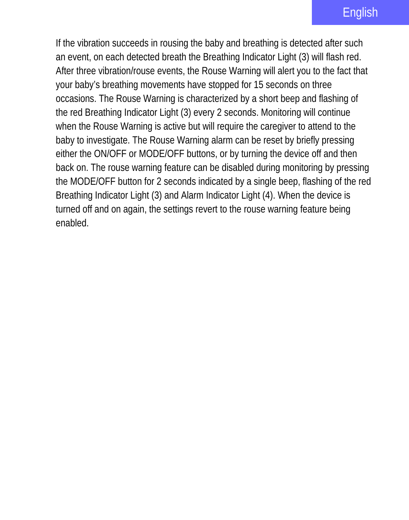If the vibration succeeds in rousing the baby and breathing is detected after such an event, on each detected breath the Breathing Indicator Light (3) will flash red. After three vibration/rouse events, the Rouse Warning will alert you to the fact that your baby's breathing movements have stopped for 15 seconds on three occasions. The Rouse Warning is characterized by a short beep and flashing of the red Breathing Indicator Light (3) every 2 seconds. Monitoring will continue when the Rouse Warning is active but will require the caregiver to attend to the baby to investigate. The Rouse Warning alarm can be reset by briefly pressing either the ON/OFF or MODE/OFF buttons, or by turning the device off and then back on. The rouse warning feature can be disabled during monitoring by pressing the MODE/OFF button for 2 seconds indicated by a single beep, flashing of the red Breathing Indicator Light (3) and Alarm Indicator Light (4). When the device is turned off and on again, the settings revert to the rouse warning feature being enabled.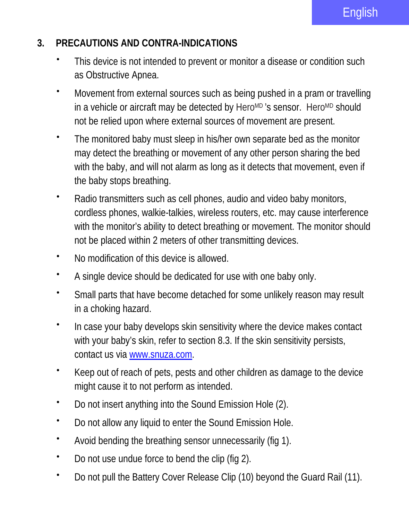#### **3. PRECAUTIONS AND CONTRA-INDICATIONS**

- This device is not intended to prevent or monitor a disease or condition such as Obstructive Apnea.
- Movement from external sources such as being pushed in a pram or travelling in a vehicle or aircraft may be detected by HeroMD 's sensor. HeroMD should not be relied upon where external sources of movement are present.
- The monitored baby must sleep in his/her own separate bed as the monitor may detect the breathing or movement of any other person sharing the bed with the baby, and will not alarm as long as it detects that movement, even if the baby stops breathing.
- Radio transmitters such as cell phones, audio and video baby monitors, cordless phones, walkie-talkies, wireless routers, etc. may cause interference with the monitor's ability to detect breathing or movement. The monitor should not be placed within 2 meters of other transmitting devices.
- No modification of this device is allowed.
- A single device should be dedicated for use with one baby only.
- Small parts that have become detached for some unlikely reason may result in a choking hazard.
- \* In case your baby develops skin sensitivity where the device makes contact with your baby's skin, refer to section 8.3. If the skin sensitivity persists, contact us vi[a www.snuza.com.](http://www.snuza.com/)
- Keep out of reach of pets, pests and other children as damage to the device might cause it to not perform as intended.
- Do not insert anything into the Sound Emission Hole (2).
- Do not allow any liquid to enter the Sound Emission Hole.
- Avoid bending the breathing sensor unnecessarily (fig 1).
- Do not use undue force to bend the clip (fig 2).
- Do not pull the Battery Cover Release Clip (10) beyond the Guard Rail (11).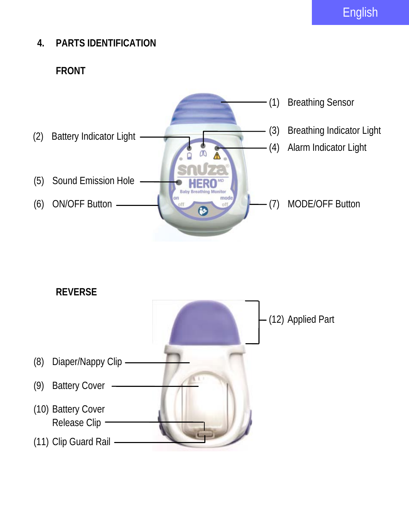English

# **4. PARTS IDENTIFICATION**

### **FRONT**



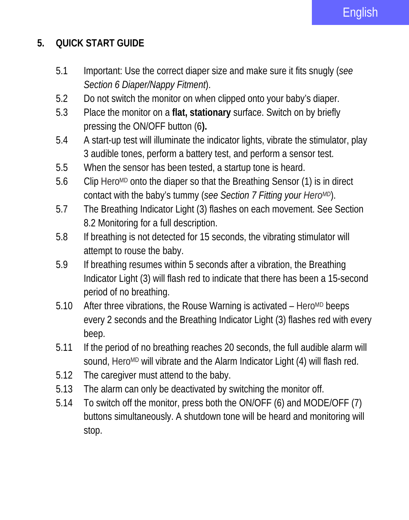## **5. QUICK START GUIDE**

- 5.1 Important: Use the correct diaper size and make sure it fits snugly (*see Section 6 Diaper/Nappy Fitment*).
- 5.2 Do not switch the monitor on when clipped onto your baby's diaper.
- 5.3 Place the monitor on a **flat, stationary** surface. Switch on by briefly pressing the ON/OFF button (6**).**
- 5.4 A start-up test will illuminate the indicator lights, vibrate the stimulator, play 3 audible tones, perform a battery test, and perform a sensor test.
- 5.5 When the sensor has been tested, a startup tone is heard.
- 5.6 Clip HeroMD onto the diaper so that the Breathing Sensor (1) is in direct contact with the baby's tummy (*see Section 7 Fitting your HeroMD*).
- 5.7 The Breathing Indicator Light (3) flashes on each movement. See Section 8.2 Monitoring for a full description.
- 5.8 If breathing is not detected for 15 seconds, the vibrating stimulator will attempt to rouse the baby.
- 5.9 If breathing resumes within 5 seconds after a vibration, the Breathing Indicator Light (3) will flash red to indicate that there has been a 15-second period of no breathing.
- 5.10 After three vibrations, the Rouse Warning is activated Hero<sup>MD</sup> beeps every 2 seconds and the Breathing Indicator Light (3) flashes red with every beep.
- 5.11 If the period of no breathing reaches 20 seconds, the full audible alarm will sound, HeroMD will vibrate and the Alarm Indicator Light (4) will flash red.
- 5.12 The caregiver must attend to the baby.
- 5.13 The alarm can only be deactivated by switching the monitor off.
- 5.14 To switch off the monitor, press both the ON/OFF (6) and MODE/OFF (7) buttons simultaneously. A shutdown tone will be heard and monitoring will stop.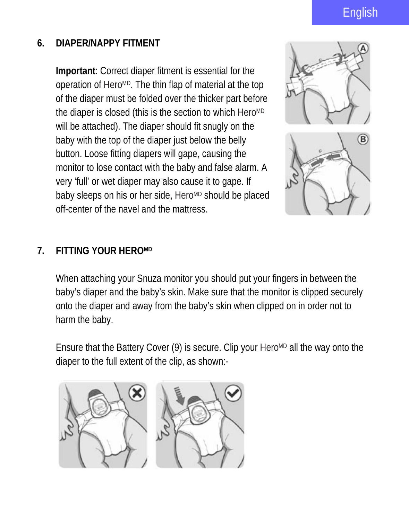# English

#### **6. DIAPER/NAPPY FITMENT**

**Important**: Correct diaper fitment is essential for the operation of HeroMD. The thin flap of material at the top of the diaper must be folded over the thicker part before the diaper is closed (this is the section to which HeroMD will be attached). The diaper should fit snugly on the baby with the top of the diaper just below the belly button. Loose fitting diapers will gape, causing the monitor to lose contact with the baby and false alarm. A very 'full' or wet diaper may also cause it to gape. If baby sleeps on his or her side, HeroMD should be placed off-center of the navel and the mattress.



#### **7. FITTING YOUR HEROMD**

When attaching your Snuza monitor you should put your fingers in between the baby's diaper and the baby's skin. Make sure that the monitor is clipped securely onto the diaper and away from the baby's skin when clipped on in order not to harm the baby.

Ensure that the Battery Cover (9) is secure. Clip your HeroMD all the way onto the diaper to the full extent of the clip, as shown:-

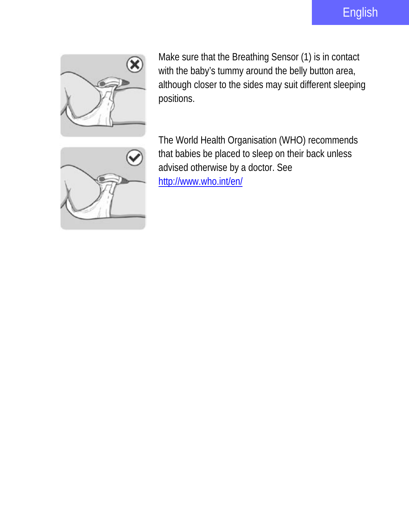

Make sure that the Breathing Sensor (1) is in contact with the baby's tummy around the belly button area, although closer to the sides may suit different sleeping positions.



The World Health Organisation (WHO) recommends that babies be placed to sleep on their back unless advised otherwise by a doctor. See <http://www.who.int/en/>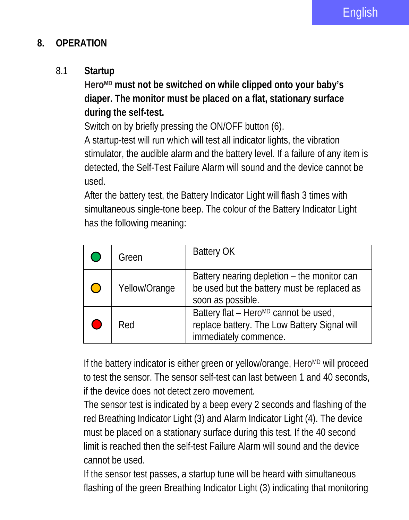#### **8. OPERATION**

#### 8.1 **Startup**

**HeroMD must not be switched on while clipped onto your baby's diaper. The monitor must be placed on a flat, stationary surface during the self-test.**

Switch on by briefly pressing the ON/OFF button (6).

A startup-test will run which will test all indicator lights, the vibration stimulator, the audible alarm and the battery level. If a failure of any item is detected, the Self-Test Failure Alarm will sound and the device cannot be used.

After the battery test, the Battery Indicator Light will flash 3 times with simultaneous single-tone beep. The colour of the Battery Indicator Light has the following meaning:

| Green         | <b>Battery OK</b>                                                                                                          |
|---------------|----------------------------------------------------------------------------------------------------------------------------|
| Yellow/Orange | Battery nearing depletion - the monitor can<br>be used but the battery must be replaced as<br>soon as possible.            |
| Red           | Battery flat - Hero <sup>MD</sup> cannot be used,<br>replace battery. The Low Battery Signal will<br>immediately commence. |

If the battery indicator is either green or yellow/orange, HeroMD will proceed to test the sensor. The sensor self-test can last between 1 and 40 seconds, if the device does not detect zero movement.

The sensor test is indicated by a beep every 2 seconds and flashing of the red Breathing Indicator Light (3) and Alarm Indicator Light (4). The device must be placed on a stationary surface during this test. If the 40 second limit is reached then the self-test Failure Alarm will sound and the device cannot be used.

If the sensor test passes, a startup tune will be heard with simultaneous flashing of the green Breathing Indicator Light (3) indicating that monitoring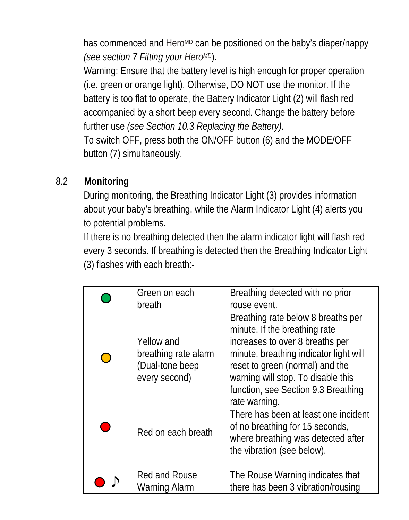has commenced and Hero<sup>MD</sup> can be positioned on the baby's diaper/nappy *(see section 7 Fitting your HeroMD*).

Warning: Ensure that the battery level is high enough for proper operation (i.e. green or orange light). Otherwise, DO NOT use the monitor. If the battery is too flat to operate, the Battery Indicator Light (2) will flash red accompanied by a short beep every second. Change the battery before further use *(see Section 10.3 Replacing the Battery).*

To switch OFF, press both the ON/OFF button (6) and the MODE/OFF button (7) simultaneously.

#### 8.2 **Monitoring**

During monitoring, the Breathing Indicator Light (3) provides information about your baby's breathing, while the Alarm Indicator Light (4) alerts you to potential problems.

If there is no breathing detected then the alarm indicator light will flash red every 3 seconds. If breathing is detected then the Breathing Indicator Light (3) flashes with each breath:-

| Green on each<br>breath                                                | Breathing detected with no prior<br>rouse event.                                                                                                                                                                                                                                  |
|------------------------------------------------------------------------|-----------------------------------------------------------------------------------------------------------------------------------------------------------------------------------------------------------------------------------------------------------------------------------|
| Yellow and<br>breathing rate alarm<br>(Dual-tone beep<br>every second) | Breathing rate below 8 breaths per<br>minute. If the breathing rate<br>increases to over 8 breaths per<br>minute, breathing indicator light will<br>reset to green (normal) and the<br>warning will stop. To disable this<br>function, see Section 9.3 Breathing<br>rate warning. |
| Red on each breath                                                     | There has been at least one incident<br>of no breathing for 15 seconds,<br>where breathing was detected after<br>the vibration (see below).                                                                                                                                       |
| Red and Rouse<br>Warning Alarm                                         | The Rouse Warning indicates that<br>there has been 3 vibration/rousing                                                                                                                                                                                                            |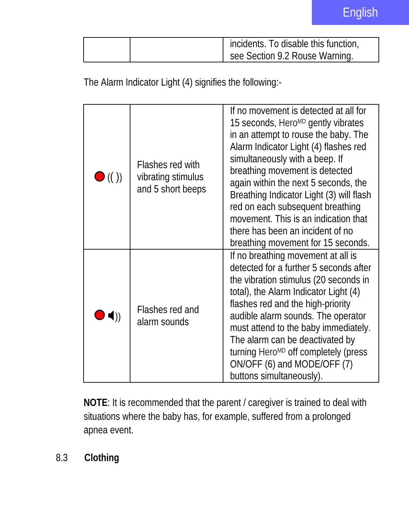|  | incidents. To disable this function, |
|--|--------------------------------------|
|  | see Section 9.2 Rouse Warning.       |

The Alarm Indicator Light (4) signifies the following:-

| $\bullet$ (( )) | Flashes red with<br>vibrating stimulus<br>and 5 short beeps | If no movement is detected at all for<br>15 seconds, Hero <sup>MD</sup> gently vibrates<br>in an attempt to rouse the baby. The<br>Alarm Indicator Light (4) flashes red<br>simultaneously with a beep. If<br>breathing movement is detected<br>again within the next 5 seconds, the<br>Breathing Indicator Light (3) will flash<br>red on each subsequent breathing<br>movement. This is an indication that<br>there has been an incident of no<br>breathing movement for 15 seconds. |
|-----------------|-------------------------------------------------------------|----------------------------------------------------------------------------------------------------------------------------------------------------------------------------------------------------------------------------------------------------------------------------------------------------------------------------------------------------------------------------------------------------------------------------------------------------------------------------------------|
| $\blacksquare$  | Flashes red and<br>alarm sounds                             | If no breathing movement at all is<br>detected for a further 5 seconds after<br>the vibration stimulus (20 seconds in<br>total), the Alarm Indicator Light (4)<br>flashes red and the high-priority<br>audible alarm sounds. The operator<br>must attend to the baby immediately.<br>The alarm can be deactivated by<br>turning Hero <sup>MD</sup> off completely (press<br>ON/OFF (6) and MODE/OFF (7)<br>buttons simultaneously).                                                    |

**NOTE**: It is recommended that the parent / caregiver is trained to deal with situations where the baby has, for example, suffered from a prolonged apnea event.

8.3 **Clothing**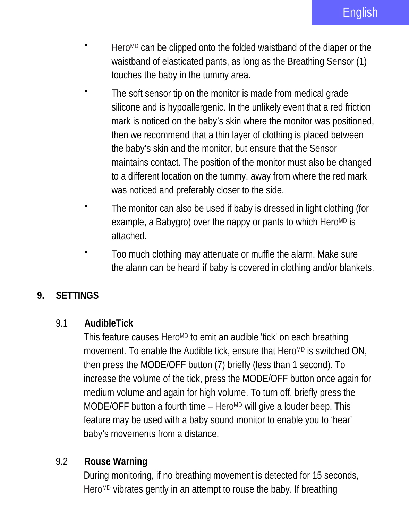- Hero<sup>MD</sup> can be clipped onto the folded waistband of the diaper or the waistband of elasticated pants, as long as the Breathing Sensor (1) touches the baby in the tummy area.
- The soft sensor tip on the monitor is made from medical grade silicone and is hypoallergenic. In the unlikely event that a red friction mark is noticed on the baby's skin where the monitor was positioned, then we recommend that a thin layer of clothing is placed between the baby's skin and the monitor, but ensure that the Sensor maintains contact. The position of the monitor must also be changed to a different location on the tummy, away from where the red mark was noticed and preferably closer to the side.
- The monitor can also be used if baby is dressed in light clothing (for example, a Babygro) over the nappy or pants to which HeroMD is attached.
- Too much clothing may attenuate or muffle the alarm. Make sure the alarm can be heard if baby is covered in clothing and/or blankets.

#### **9. SETTINGS**

#### 9.1 **AudibleTick**

This feature causes Hero<sup>MD</sup> to emit an audible 'tick' on each breathing movement. To enable the Audible tick, ensure that HeroMD is switched ON, then press the MODE/OFF button (7) briefly (less than 1 second). To increase the volume of the tick, press the MODE/OFF button once again for medium volume and again for high volume. To turn off, briefly press the MODE/OFF button a fourth time – Hero<sup>MD</sup> will give a louder beep. This feature may be used with a baby sound monitor to enable you to 'hear' baby's movements from a distance.

#### 9.2 **Rouse Warning**

During monitoring, if no breathing movement is detected for 15 seconds, Hero<sup>MD</sup> vibrates gently in an attempt to rouse the baby. If breathing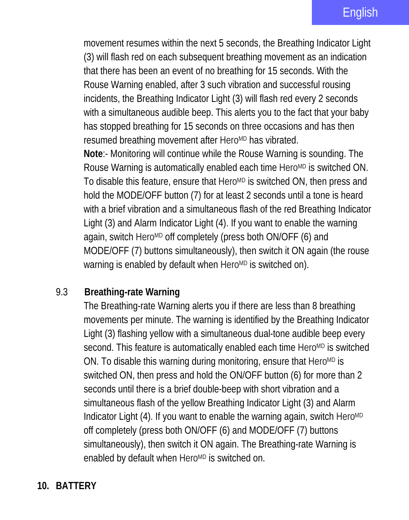movement resumes within the next 5 seconds, the Breathing Indicator Light (3) will flash red on each subsequent breathing movement as an indication that there has been an event of no breathing for 15 seconds. With the Rouse Warning enabled, after 3 such vibration and successful rousing incidents, the Breathing Indicator Light (3) will flash red every 2 seconds with a simultaneous audible beep. This alerts you to the fact that your baby has stopped breathing for 15 seconds on three occasions and has then resumed breathing movement after HeroMD has vibrated.

**Note**:- Monitoring will continue while the Rouse Warning is sounding. The Rouse Warning is automatically enabled each time HeroMD is switched ON. To disable this feature, ensure that Hero<sup>MD</sup> is switched ON, then press and hold the MODE/OFF button (7) for at least 2 seconds until a tone is heard with a brief vibration and a simultaneous flash of the red Breathing Indicator Light (3) and Alarm Indicator Light (4). If you want to enable the warning again, switch Hero<sup>MD</sup> off completely (press both ON/OFF (6) and MODE/OFF (7) buttons simultaneously), then switch it ON again (the rouse warning is enabled by default when HeroMD is switched on).

#### 9.3 **Breathing-rate Warning**

The Breathing-rate Warning alerts you if there are less than 8 breathing movements per minute. The warning is identified by the Breathing Indicator Light (3) flashing yellow with a simultaneous dual-tone audible beep every second. This feature is automatically enabled each time HeroMD is switched ON. To disable this warning during monitoring, ensure that HeroMD is switched ON, then press and hold the ON/OFF button (6) for more than 2 seconds until there is a brief double-beep with short vibration and a simultaneous flash of the yellow Breathing Indicator Light (3) and Alarm Indicator Light (4). If you want to enable the warning again, switch HeroMD off completely (press both ON/OFF (6) and MODE/OFF (7) buttons simultaneously), then switch it ON again. The Breathing-rate Warning is enabled by default when HeroMD is switched on.

#### **10. BATTERY**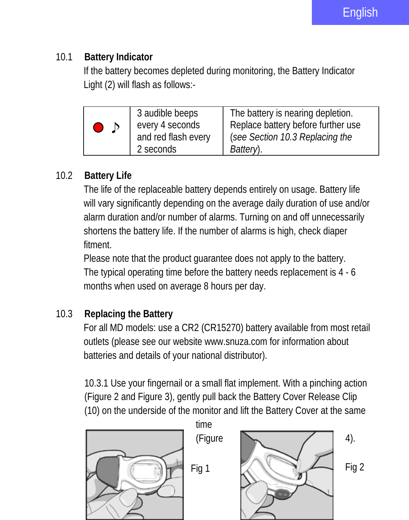#### 10.1 **Battery Indicator**

If the battery becomes depleted during monitoring, the Battery Indicator Light (2) will flash as follows:-

| 3 audible beeps     | The battery is nearing depletion.  |
|---------------------|------------------------------------|
| every 4 seconds     | Replace battery before further use |
| and red flash every | (see Section 10.3 Replacing the    |
| 2 seconds           | Battery).                          |

# 10.2 **Battery Life**

The life of the replaceable battery depends entirely on usage. Battery life will vary significantly depending on the average daily duration of use and/or alarm duration and/or number of alarms. Turning on and off unnecessarily shortens the battery life. If the number of alarms is high, check diaper fitment.

Please note that the product guarantee does not apply to the battery. The typical operating time before the battery needs replacement is 4 - 6 months when used on average 8 hours per day.

# 10.3 **Replacing the Battery**

For all MD models: use a CR2 (CR15270) battery available from most retail outlets (please see our website www.snuza.com for information about batteries and details of your national distributor).

10.3.1 Use your fingernail or a small flat implement. With a pinching action (Figure 2 and Figure 3), gently pull back the Battery Cover Release Clip (10) on the underside of the monitor and lift the Battery Cover at the same

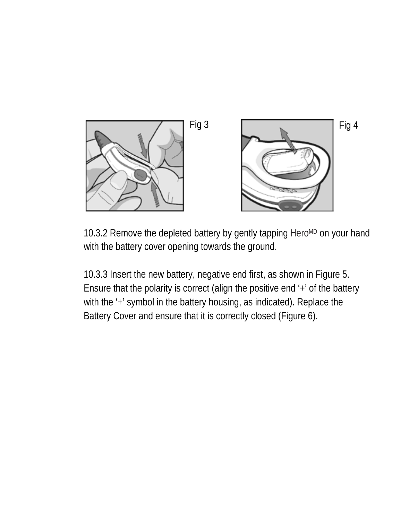

10.3.2 Remove the depleted battery by gently tapping HeroMD on your hand with the battery cover opening towards the ground.

10.3.3 Insert the new battery, negative end first, as shown in Figure 5. Ensure that the polarity is correct (align the positive end '+' of the battery with the '+' symbol in the battery housing, as indicated). Replace the Battery Cover and ensure that it is correctly closed (Figure 6).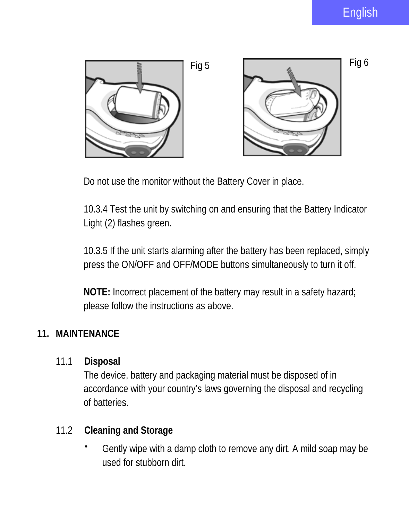

Do not use the monitor without the Battery Cover in place.

10.3.4 Test the unit by switching on and ensuring that the Battery Indicator Light (2) flashes green.

10.3.5 If the unit starts alarming after the battery has been replaced, simply press the ON/OFF and OFF/MODE buttons simultaneously to turn it off.

**NOTE:** Incorrect placement of the battery may result in a safety hazard; please follow the instructions as above.

#### **11. MAINTENANCE**

11.1 **Disposal**

The device, battery and packaging material must be disposed of in accordance with your country's laws governing the disposal and recycling of batteries.

#### 11.2 **Cleaning and Storage**

 Gently wipe with a damp cloth to remove any dirt. A mild soap may be used for stubborn dirt.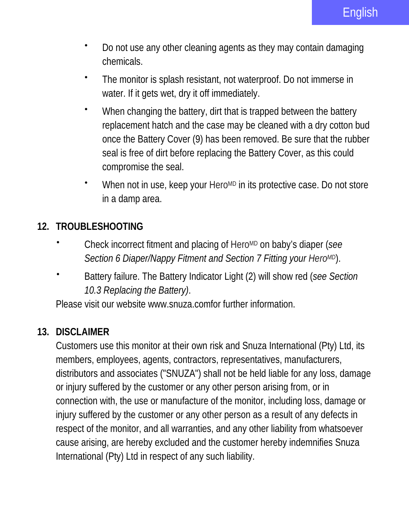- Do not use any other cleaning agents as they may contain damaging chemicals.
- The monitor is splash resistant, not waterproof. Do not immerse in water. If it gets wet, dry it off immediately.
- When changing the battery, dirt that is trapped between the battery replacement hatch and the case may be cleaned with a dry cotton bud once the Battery Cover (9) has been removed. Be sure that the rubber seal is free of dirt before replacing the Battery Cover, as this could compromise the seal.
- \* When not in use, keep your Hero<sup>MD</sup> in its protective case. Do not store in a damp area.

### **12. TROUBLESHOOTING**

- Check incorrect fitment and placing of HeroMD on baby's diaper (*see Section 6 Diaper/Nappy Fitment and Section 7 Fitting your HeroMD*).
- Battery failure. The Battery Indicator Light (2) will show red (*see Section 10.3 Replacing the Battery)*.

Please visit our website www.snuza.comfor further information.

#### **13. DISCLAIMER**

Customers use this monitor at their own risk and Snuza International (Pty) Ltd, its members, employees, agents, contractors, representatives, manufacturers, distributors and associates ("SNUZA") shall not be held liable for any loss, damage or injury suffered by the customer or any other person arising from, or in connection with, the use or manufacture of the monitor, including loss, damage or injury suffered by the customer or any other person as a result of any defects in respect of the monitor, and all warranties, and any other liability from whatsoever cause arising, are hereby excluded and the customer hereby indemnifies Snuza International (Pty) Ltd in respect of any such liability.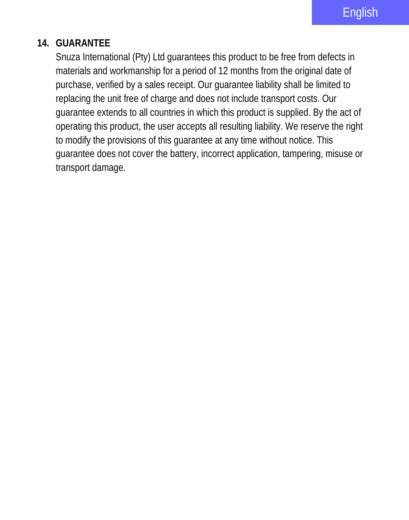#### **14. GUARANTEE**

Snuza International (Pty) Ltd guarantees this product to be free from defects in materials and workmanship for a period of 12 months from the original date of purchase, verified by a sales receipt. Our guarantee liability shall be limited to replacing the unit free of charge and does not include transport costs. Our guarantee extends to all countries in which this product is supplied. By the act of operating this product, the user accepts all resulting liability. We reserve the right to modify the provisions of this guarantee at any time without notice. This guarantee does not cover the battery, incorrect application, tampering, misuse or transport damage.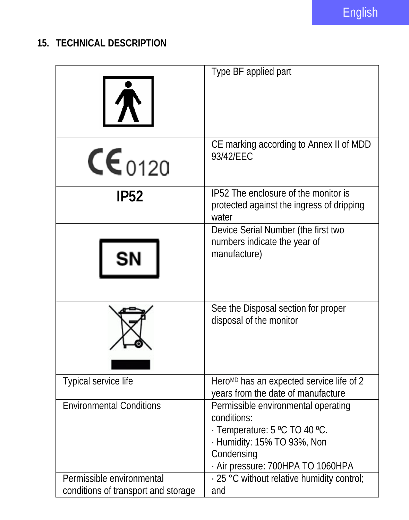# **15. TECHNICAL DESCRIPTION**

| <b>17</b>                                                        | Type BF applied part                                                                                                                                                  |
|------------------------------------------------------------------|-----------------------------------------------------------------------------------------------------------------------------------------------------------------------|
|                                                                  |                                                                                                                                                                       |
| $CE_{0120}$                                                      | CE marking according to Annex II of MDD<br>93/42/EEC                                                                                                                  |
| <b>IP52</b>                                                      | IP52 The enclosure of the monitor is<br>protected against the ingress of dripping<br>water                                                                            |
| SN                                                               | Device Serial Number (the first two<br>numbers indicate the year of<br>manufacture)                                                                                   |
|                                                                  | See the Disposal section for proper<br>disposal of the monitor                                                                                                        |
| Typical service life                                             | Hero <sup>MD</sup> has an expected service life of 2<br>years from the date of manufacture                                                                            |
| <b>Environmental Conditions</b>                                  | Permissible environmental operating<br>conditions:<br>· Temperature: 5 °C TO 40 °C.<br>· Humidity: 15% TO 93%, Non<br>Condensing<br>- Air pressure: 700HPA TO 1060HPA |
| Permissible environmental<br>conditions of transport and storage | · 25 °C without relative humidity control;<br>and                                                                                                                     |